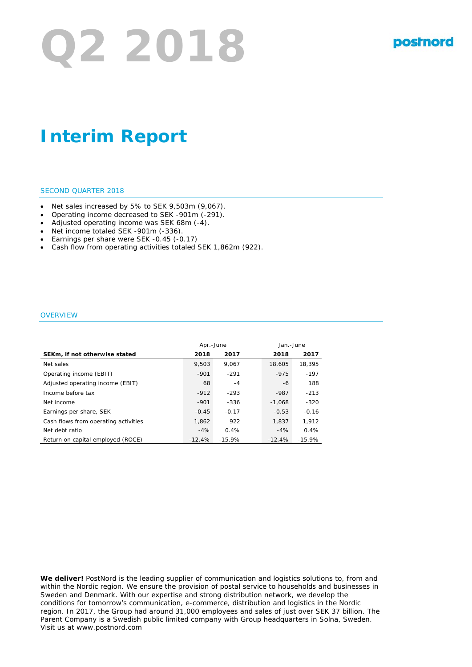# **Q2 2018**

# **Interim Report**

### SECOND QUARTER 2018

- Net sales increased by 5% to SEK 9,503m (9,067).
- Operating income decreased to SEK -901m (-291).
- Adjusted operating income was SEK 68m (-4).
- Net income totaled SEK -901m (-336).
- Earnings per share were SEK -0.45 (-0.17)
- Cash flow from operating activities totaled SEK 1,862m (922).

### **OVERVIEW**

|                                      | Apr.-June |          | Jan.-June |          |
|--------------------------------------|-----------|----------|-----------|----------|
| SEKm, if not otherwise stated        | 2018      | 2017     | 2018      | 2017     |
| Net sales                            | 9.503     | 9.067    | 18,605    | 18,395   |
| Operating income (EBIT)              | $-901$    | $-291$   | $-975$    | $-197$   |
| Adjusted operating income (EBIT)     | 68        | -4       | -6        | 188      |
| Income before tax                    | $-912$    | $-293$   | $-987$    | $-213$   |
| Net income                           | $-901$    | -336     | $-1.068$  | $-320$   |
| Earnings per share, SEK              | $-0.45$   | $-0.17$  | $-0.53$   | $-0.16$  |
| Cash flows from operating activities | 1.862     | 922      | 1.837     | 1.912    |
| Net debt ratio                       | $-4%$     | 0.4%     | $-4%$     | 0.4%     |
| Return on capital employed (ROCE)    | $-12.4%$  | $-15.9%$ | $-12.4%$  | $-15.9%$ |

**We deliver!** PostNord is the leading supplier of communication and logistics solutions to, from and within the Nordic region. We ensure the provision of postal service to households and businesses in Sweden and Denmark. With our expertise and strong distribution network, we develop the conditions for tomorrow's communication, e-commerce, distribution and logistics in the Nordic region. In 2017, the Group had around 31,000 employees and sales of just over SEK 37 billion. The Parent Company is a Swedish public limited company with Group headquarters in Solna, Sweden. Visit us at www.postnord.com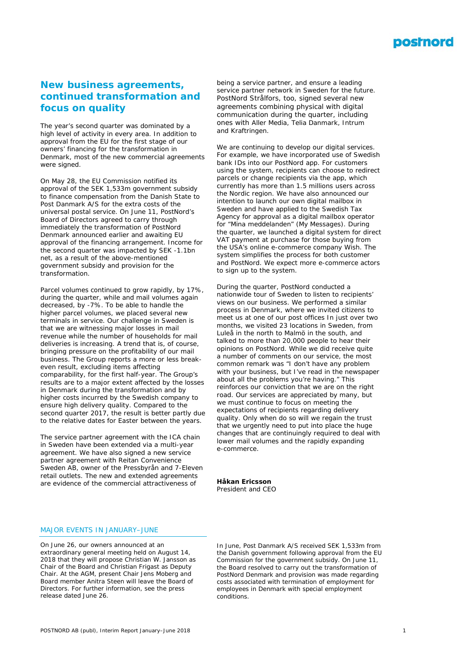

## **New business agreements, continued transformation and focus on quality**

*The year's second quarter was dominated by a high level of activity in every area. In addition to approval from the EU for the first stage of our owners' financing for the transformation in Denmark, most of the new commercial agreements were signed.* 

On May 28, the EU Commission notified its approval of the SEK 1,533m government subsidy to finance compensation from the Danish State to Post Danmark A/S for the extra costs of the universal postal service. On June 11, PostNord's Board of Directors agreed to carry through immediately the transformation of PostNord Denmark announced earlier and awaiting EU approval of the financing arrangement. Income for the second quarter was impacted by SEK -1.1bn net, as a result of the above-mentioned government subsidy and provision for the transformation.

Parcel volumes continued to grow rapidly, by 17%, during the quarter, while and mail volumes again decreased, by -7%. To be able to handle the higher parcel volumes, we placed several new terminals in service. Our challenge in Sweden is that we are witnessing major losses in mail revenue while the number of households for mail deliveries is increasing. A trend that is, of course, bringing pressure on the profitability of our mail business. The Group reports a more or less breakeven result, excluding items affecting comparability, for the first half-year. The Group's results are to a major extent affected by the losses in Denmark during the transformation and by higher costs incurred by the Swedish company to ensure high delivery quality. Compared to the second quarter 2017, the result is better partly due to the relative dates for Easter between the years.

The service partner agreement with the ICA chain in Sweden have been extended via a multi-year agreement. We have also signed a new service partner agreement with Reitan Convenience Sweden AB, owner of the Pressbyrån and 7-Eleven retail outlets. The new and extended agreements are evidence of the commercial attractiveness of

being a service partner, and ensure a leading service partner network in Sweden for the future. PostNord Strålfors, too, signed several new agreements combining physical with digital communication during the quarter, including ones with Aller Media, Telia Danmark, Intrum and Kraftringen.

We are continuing to develop our digital services. For example, we have incorporated use of Swedish bank IDs into our PostNord app. For customers using the system, recipients can choose to redirect parcels or change recipients via the app, which currently has more than 1.5 millions users across the Nordic region. We have also announced our intention to launch our own digital mailbox in Sweden and have applied to the Swedish Tax Agency for approval as a digital mailbox operator for "Mina meddelanden" (My Messages). During the quarter, we launched a digital system for direct VAT payment at purchase for those buying from the USA's online e-commerce company Wish. The system simplifies the process for both customer and PostNord. We expect more e-commerce actors to sign up to the system.

During the quarter, PostNord conducted a nationwide tour of Sweden to listen to recipients' views on our business. We performed a similar process in Denmark, where we invited citizens to meet us at one of our post offices In just over two months, we visited 23 locations in Sweden, from Luleå in the north to Malmö in the south, and talked to more than 20,000 people to hear their opinions on PostNord. While we did receive quite a number of comments on our service, the most common remark was "I don't have any problem with your business, but I've read in the newspaper about all the problems you're having." This reinforces our conviction that we are on the right road. Our services are appreciated by many, but we must continue to focus on meeting the expectations of recipients regarding delivery quality. Only when do so will we regain the trust that we urgently need to put into place the huge changes that are continuingly required to deal with lower mail volumes and the rapidly expanding e-commerce.

**Håkan Ericsson** *President and CEO*

### MAJOR EVENTS IN JANUARY–JUNE

On June 26, our owners announced at an extraordinary general meeting held on August 14, 2018 that they will propose Christian W. Jansson as Chair of the Board and Christian Frigast as Deputy Chair. At the AGM, present Chair Jens Moberg and Board member Anitra Steen will leave the Board of Directors. For further information, see the press release dated June 26.

In June, Post Danmark A/S received SEK 1,533m from the Danish government following approval from the EU Commission for the government subsidy. On June 11, the Board resolved to carry out the transformation of PostNord Denmark and provision was made regarding costs associated with termination of employment for employees in Denmark with special employment conditions.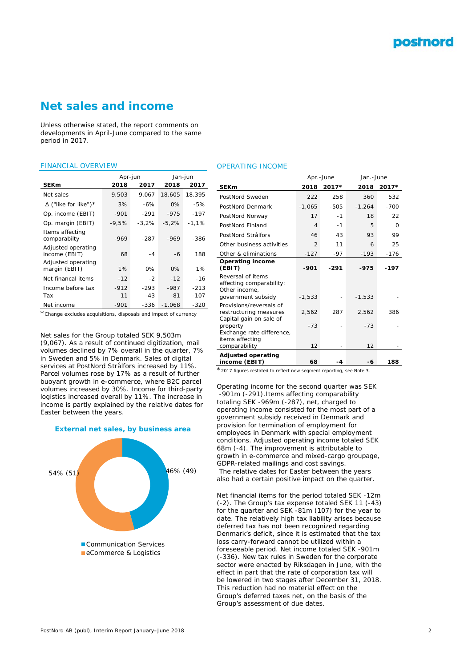# **Net sales and income**

*Unless otherwise stated, the report comments on developments in April-June compared to the same period in 2017.*

### FINANCIAL OVERVIEW

|                                     | Apr-jun |          | Jan-jun  |         |  |
|-------------------------------------|---------|----------|----------|---------|--|
| <b>SEKm</b>                         | 2018    | 2017     | 2018     | 2017    |  |
| Net sales                           | 9.503   | 9.067    | 18.605   | 18.395  |  |
| $\Delta$ ("like for like")*         | 3%      | -6%      | $0\%$    | -5%     |  |
| Op. income (EBIT)                   | $-901$  | $-291$   | $-975$   | $-197$  |  |
| Op. margin (EBIT)                   | $-9,5%$ | $-3.2\%$ | $-5.2%$  | $-1.1%$ |  |
| Items affecting<br>comparabilty     | -969    | -287     | -969     | -386    |  |
| Adjusted operating<br>income (EBIT) | 68      | $-4$     | -6       | 188     |  |
| Adjusted operating<br>margin (EBIT) | 1%      | 0%       | $0\%$    | $1\%$   |  |
| Net financal items                  | $-12$   | $-2$     | $-12$    | $-16$   |  |
| Income before tax                   | $-912$  | $-293$   | $-987$   | $-213$  |  |
| Tax                                 | 11      | $-43$    | $-81$    | $-107$  |  |
| Net income                          | $-901$  | -336     | $-1.068$ | $-320$  |  |

\**Change excludes acquisitions, disposals and impact of currency*

Net sales for the Group totaled SEK 9,503m (9,067). As a result of continued digitization, mail volumes declined by 7% overall in the quarter, 7% in Sweden and 5% in Denmark. Sales of digital services at PostNord Strålfors increased by 11%. Parcel volumes rose by 17% as a result of further buoyant growth in e-commerce, where B2C parcel volumes increased by 30%. Income for third-party logistics increased overall by 11%. The increase in income is partly explained by the relative dates for Easter between the years.





### OPERATING INCOME

|                                                                                      |                | Apr.-June | Jan.-June   |          |  |
|--------------------------------------------------------------------------------------|----------------|-----------|-------------|----------|--|
| <b>SEKm</b>                                                                          | 2018           | 2017*     | 2018        | 2017*    |  |
| PostNord Sweden                                                                      | 222            | 258       | 360         | 532      |  |
| PostNord Denmark                                                                     | $-1,065$       | $-505$    | $-1.264$    | $-700$   |  |
| PostNord Norway                                                                      | 17             | $-1$      | 18          | 22       |  |
| PostNord Finland                                                                     | 4              | $-1$      | 5           | $\Omega$ |  |
| PostNord Strålfors                                                                   | 46             | 43        | 93          | 99       |  |
| Other business activities                                                            | $\overline{2}$ | 11        | 6           | 25       |  |
| Other & eliminations                                                                 | $-127$         | $-97$     | $-193$      | $-176$   |  |
| <b>Operating income</b><br>(EBIT)                                                    | $-901$         | $-291$    | -975        | -197     |  |
| Reversal of items<br>affecting comparability:<br>Other income.<br>government subsidy | $-1.533$       |           | $-1.533$    |          |  |
| Provisions/reversals of<br>restructuring measures<br>Capital gain on sale of         | 2,562          | 287       | 2,562       | 386      |  |
| property<br>Exchange rate difference,<br>items affecting<br>comparability            | $-73$<br>12    |           | $-73$<br>12 |          |  |
| <b>Adjusted operating</b><br>income (EBIT)                                           | 68             | -4        | -6          | 188      |  |

\**2017 figures restated to reflect new segment reporting, see Note 3*.

Operating income for the second quarter was SEK -901m (-291).Items affecting comparability totaling SEK -969m (-287), net, charged to operating income consisted for the most part of a government subsidy received in Denmark and provision for termination of employment for employees in Denmark with special employment conditions. Adjusted operating income totaled SEK 68m (-4). The improvement is attributable to growth in e-commerce and mixed-cargo groupage, GDPR-related mailings and cost savings. The relative dates for Easter between the years also had a certain positive impact on the quarter.

Net financial items for the period totaled SEK -12m (-2). The Group's tax expense totaled SEK 11 (-43) for the quarter and SEK -81m (107) for the year to date. The relatively high tax liability arises because deferred tax has not been recognized regarding Denmark's deficit, since it is estimated that the tax loss carry-forward cannot be utilized within a foreseeable period. Net income totaled SEK -901m (-336). New tax rules in Sweden for the corporate sector were enacted by Riksdagen in June, with the effect in part that the rate of corporation tax will be lowered in two stages after December 31, 2018. This reduction had no material effect on the Group's deferred taxes net, on the basis of the Group's assessment of due dates.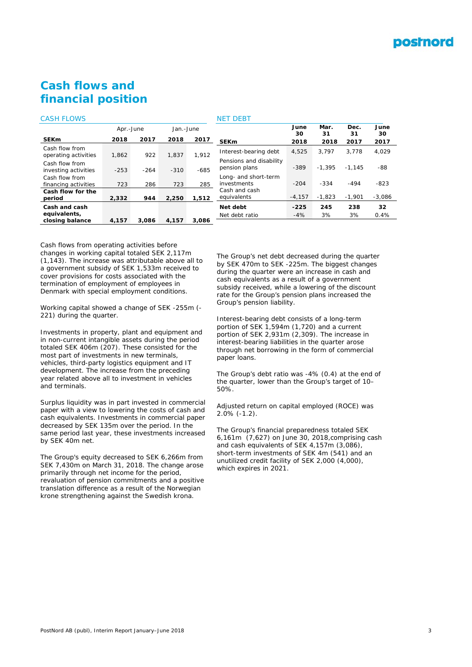

# **Cash flows and financial position**

### CASH FLOWS

|                                        | Apr.-June |        | Jan.-June |       |
|----------------------------------------|-----------|--------|-----------|-------|
| <b>SEKm</b>                            | 2018      | 2017   | 2018      | 2017  |
| Cash flow from<br>operating activities | 1.862     | 922    | 1.837     | 1.912 |
| Cash flow from<br>investing activities | $-253$    | $-264$ | $-310$    | -685  |
| Cash flow from<br>financing activities | 723       | 286    | 723       | 285   |
| Cash flow for the<br>period            | 2,332     | 944    | 2,250     | 1,512 |
| Cash and cash<br>equivalents,          |           |        |           |       |
| closing balance                        | 4,157     | 3.086  | 4,157     | 3.086 |

### NET DEBT

| June   |                                          | June<br>30 | Mar.<br>31 | Dec.<br>31 | June<br>30 |
|--------|------------------------------------------|------------|------------|------------|------------|
| 2017   | <b>SEKm</b>                              | 2018       | 2018       | 2017       | 2017       |
| 1.912  | Interest-bearing debt                    | 4.525      | 3.797      | 3.778      | 4.029      |
| $-685$ | Pensions and disability<br>pension plans | -389       | $-1.395$   | $-1.145$   | -88        |
| 285    | Long- and short-term<br>investments      | $-204$     | $-334$     | $-494$     | $-823$     |
| 1,512  | Cash and cash<br>equivalents             | $-4,157$   | $-1.823$   | $-1,901$   | $-3.086$   |
|        | Net debt                                 | -225       | 245        | 238        | 32         |
| າ ດວ∠  | Net debt ratio                           | $-4%$      | 3%         | 3%         | 0.4%       |
|        |                                          |            |            |            |            |

Cash flows from operating activities before changes in working capital totaled SEK 2,117m (1,143). The increase was attributable above all to a government subsidy of SEK 1,533m received to cover provisions for costs associated with the termination of employment of employees in Denmark with special employment conditions.

Working capital showed a change of SEK -255m (- 221) during the quarter.

Investments in property, plant and equipment and in non-current intangible assets during the period totaled SEK 406m (207). These consisted for the most part of investments in new terminals, vehicles, third-party logistics equipment and IT development. The increase from the preceding year related above all to investment in vehicles and terminals.

Surplus liquidity was in part invested in commercial paper with a view to lowering the costs of cash and cash equivalents. Investments in commercial paper decreased by SEK 135m over the period. In the same period last year, these investments increased by SEK 40m net.

The Group's equity decreased to SEK 6,266m from SEK 7,430m on March 31, 2018. The change arose primarily through net income for the period, revaluation of pension commitments and a positive translation difference as a result of the Norwegian krone strengthening against the Swedish krona.

The Group's net debt decreased during the quarter by SEK 470m to SEK -225m. The biggest changes during the quarter were an increase in cash and cash equivalents as a result of a government subsidy received, while a lowering of the discount rate for the Group's pension plans increased the Group's pension liability.

Interest-bearing debt consists of a long-term portion of SEK 1,594m (1,720) and a current portion of SEK 2,931m (2,309). The increase in interest-bearing liabilities in the quarter arose through net borrowing in the form of commercial paper loans.

The Group's debt ratio was -4% (0.4) at the end of the quarter, lower than the Group's target of 10– 50%.

Adjusted return on capital employed (ROCE) was 2.0% (-1.2).

The Group's financial preparedness totaled SEK 6,161m (7,627) on June 30, 2018,comprising cash and cash equivalents of SEK 4,157m (3,086), short-term investments of SEK 4m (541) and an unutilized credit facility of SEK 2,000 (4,000), which expires in 2021.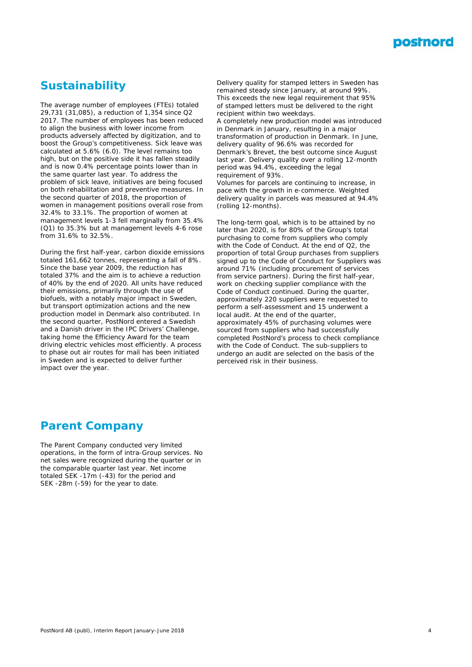

# **Sustainability**

The average number of employees (FTEs) totaled 29,731 (31,085), a reduction of 1,354 since Q2 2017. The number of employees has been reduced to align the business with lower income from products adversely affected by digitization, and to boost the Group's competitiveness. Sick leave was calculated at 5.6% (6.0). The level remains too high, but on the positive side it has fallen steadily and is now 0.4% percentage points lower than in the same quarter last year. To address the problem of sick leave, initiatives are being focused on both rehabilitation and preventive measures. In the second quarter of 2018, the proportion of women in management positions overall rose from 32.4% to 33.1%. The proportion of women at management levels 1-3 fell marginally from 35.4% (Q1) to 35.3% but at management levels 4-6 rose from 31.6% to 32.5%.

During the first half-year, carbon dioxide emissions totaled 161,662 tonnes, representing a fall of 8%. Since the base year 2009, the reduction has totaled 37% and the aim is to achieve a reduction of 40% by the end of 2020. All units have reduced their emissions, primarily through the use of biofuels, with a notably major impact in Sweden, but transport optimization actions and the new production model in Denmark also contributed. In the second quarter, PostNord entered a Swedish and a Danish driver in the IPC Drivers' Challenge, taking home the Efficiency Award for the team driving electric vehicles most efficiently. A process to phase out air routes for mail has been initiated in Sweden and is expected to deliver further impact over the year.

Delivery quality for stamped letters in Sweden has remained steady since January, at around 99%. This exceeds the new legal requirement that 95% of stamped letters must be delivered to the right recipient within two weekdays.

A completely new production model was introduced in Denmark in January, resulting in a major transformation of production in Denmark. In June, delivery quality of 96.6% was recorded for Denmark's Brevet, the best outcome since August last year. Delivery quality over a rolling 12-month period was 94.4%, exceeding the legal requirement of 93%.

Volumes for parcels are continuing to increase, in pace with the growth in e-commerce. Weighted delivery quality in parcels was measured at 94.4% (rolling 12-months).

The long-term goal, which is to be attained by no later than 2020, is for 80% of the Group's total purchasing to come from suppliers who comply with the Code of Conduct. At the end of Q2, the proportion of total Group purchases from suppliers signed up to the Code of Conduct for Suppliers was around 71% (including procurement of services from service partners). During the first half-year, work on checking supplier compliance with the Code of Conduct continued. During the quarter, approximately 220 suppliers were requested to perform a self-assessment and 15 underwent a local audit. At the end of the quarter, approximately 45% of purchasing volumes were sourced from suppliers who had successfully completed PostNord's process to check compliance with the Code of Conduct. The sub-suppliers to undergo an audit are selected on the basis of the perceived risk in their business.

# **Parent Company**

The Parent Company conducted very limited operations, in the form of intra-Group services. No net sales were recognized during the quarter or in the comparable quarter last year. Net income totaled SEK -17m (-43) for the period and SEK -28m (-59) for the year to date.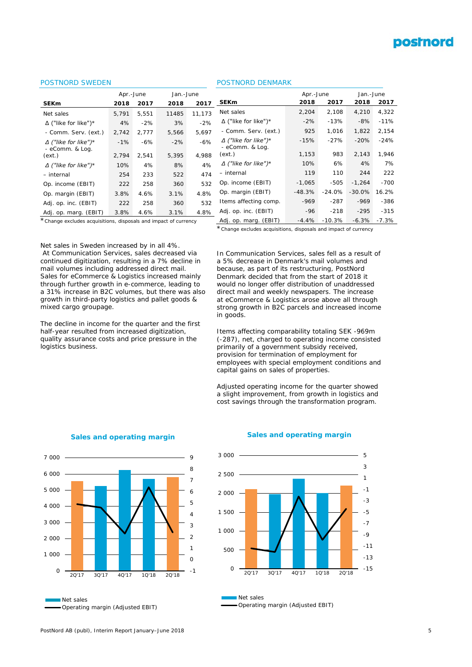# **postnord**

### POSTNORD SWEDEN

|                                                 | Apr.-June |       | Jan.-June |        |
|-------------------------------------------------|-----------|-------|-----------|--------|
| <b>SEKm</b>                                     | 2018      | 2017  | 2018      | 2017   |
| Net sales                                       | 5,791     | 5.551 | 11485     | 11,173 |
| $\Delta$ ("like for like")*                     | 4%        | $-2%$ | 3%        | $-2%$  |
| - Comm. Serv. (ext.)                            | 2,742     | 2,777 | 5,566     | 5,697  |
| $\Delta$ ("like for like") *<br>- eComm. & Log. | $-1%$     | $-6%$ | $-2%$     | $-6%$  |
| (ext.)                                          | 2,794     | 2.541 | 5,395     | 4.988  |
| $\Delta$ ("like for like") *                    | 10%       | 4%    | 8%        | 4%     |
| – internal                                      | 254       | 233   | 522       | 474    |
| Op. income (EBIT)                               | 222       | 258   | 360       | 532    |
| Op. margin (EBIT)                               | 3.8%      | 4.6%  | 3.1%      | 4.8%   |
| Adj. op. inc. (EBIT)                            | 222       | 258   | 360       | 532    |
| Adj. op. marg. (EBIT)                           | 3.8%      | 4.6%  | 3.1%      | 4.8%   |

### POSTNORD DENMARK

*- eComm. & Log.* 

Adj. op. inc. (EBIT) -96 -218 -295 -315 Adj. op. marg. (EBIT) -4.4% -10.3% -6.3% -7.3%

**SEKm 2018 2017 2018 2017** Net sales 2,204 2,108 4,210 4,322 Δ ("like for like")\* -2% -13% *-8%* -11% *- Comm. Serv. (ext.)* 925 1,016 1,822 2,154 *Δ ("like for like")\** -15% -27% -20% -24%

*(ext.)* 1,153 983 2,143 1,946 *Δ ("like for like")\** 10% 6% 4% 7% *– internal* 119 110 244 222 Op. income (EBIT) -1,065 -505 -1,264 -700 Op. margin (EBIT) -48.3% -24.0% -30.0% 16.2% Items affecting comp.  $-969 -287 -969 -386$ 

Apr.-June Jan.-June

\**Change excludes acquisitions, disposals and impact of currency*

\**Change excludes acquisitions, disposals and impact of currency*

Net sales in Sweden increased by in all 4%.

At Communication Services, sales decreased via continued digitization, resulting in a 7% decline in mail volumes including addressed direct mail. Sales for eCommerce & Logistics increased mainly through further growth in e-commerce, leading to a 31% increase in B2C volumes, but there was also growth in third-party logistics and pallet goods & mixed cargo groupage.

The decline in income for the quarter and the first half-year resulted from increased digitization, quality assurance costs and price pressure in the logistics business.

In Communication Services, sales fell as a result of a 5% decrease in Denmark's mail volumes and because, as part of its restructuring, PostNord Denmark decided that from the start of 2018 it would no longer offer distribution of unaddressed direct mail and weekly newspapers. The increase at eCommerce & Logistics arose above all through strong growth in B2C parcels and increased income in goods.

Items affecting comparability totaling SEK -969m (-287), net, charged to operating income consisted primarily of a government subsidy received, provision for termination of employment for employees with special employment conditions and capital gains on sales of properties.

Adjusted operating income for the quarter showed a slight improvement, from growth in logistics and cost savings through the transformation program.



**Sales and operating margin**

### **Sales and operating margin**



Net sales Operating margin (Adjusted EBIT)

Net sales Operating margin (Adjusted EBIT)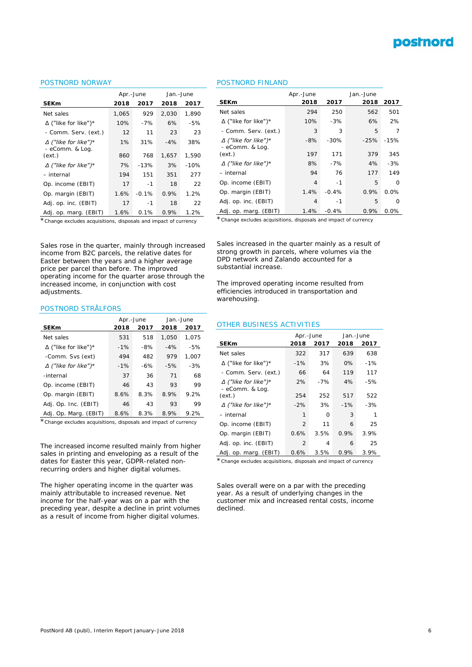# postnord

### POSTNORD NORWAY

|                                                 | Apr.-June |         | Jan.-June |        |  |
|-------------------------------------------------|-----------|---------|-----------|--------|--|
| <b>SEKm</b>                                     | 2018      | 2017    | 2018      | 2017   |  |
| Net sales                                       | 1,065     | 929     | 2,030     | 1,890  |  |
| $\Delta$ ("like for like")*                     | 10%       | $-7%$   | 6%        | $-5%$  |  |
| - Comm. Serv. (ext.)                            | 12        | 11      | 23        | 23     |  |
| $\Delta$ ("like for like") *<br>- eComm. & Log. | 1%        | 31%     | $-4%$     | 38%    |  |
| (ext.)                                          | 860       | 768     | 1,657     | 1,590  |  |
| $\Delta$ ("like for like") *                    | 7%        | $-13%$  | 3%        | $-10%$ |  |
| – internal                                      | 194       | 151     | 351       | 277    |  |
| Op. income (EBIT)                               | 17        | $-1$    | 18        | 22     |  |
| Op. margin (EBIT)                               | 1.6%      | $-0.1%$ | 0.9%      | 1.2%   |  |
| Adj. op. inc. (EBIT)                            | 17        | -1      | 18        | 22     |  |
| Adj. op. marg. (EBIT)                           | 1.6%      | 0.1%    | 0.9%      | 1.2%   |  |

### POSTNORD FINLAND

| <b>SEKm</b>                                     | Apr.-June<br>2018                                                | 2017    | Jan.-June<br>2018 | 2017    |  |  |  |  |
|-------------------------------------------------|------------------------------------------------------------------|---------|-------------------|---------|--|--|--|--|
| Net sales                                       | 294                                                              | 250     | 562               | 501     |  |  |  |  |
| $\Delta$ ("like for like")*                     | 10%                                                              | $-3%$   | 6%                | 2%      |  |  |  |  |
| - Comm. Serv. (ext.)                            | 3                                                                | 3       | 5                 | 7       |  |  |  |  |
| $\Delta$ ("like for like") *<br>- eComm. & Log. | -8%                                                              | $-30%$  | $-25%$            | $-15%$  |  |  |  |  |
| (ext.)                                          | 197                                                              | 171     | 379               | 345     |  |  |  |  |
| $\Delta$ ("like for like") *                    | 8%                                                               | $-7%$   | 4%                | $-3%$   |  |  |  |  |
| – internal                                      | 94                                                               | 76      | 177               | 149     |  |  |  |  |
| Op. income (EBIT)                               | 4                                                                | $-1$    | 5                 | U       |  |  |  |  |
| Op. margin (EBIT)                               | 1.4%                                                             | $-0.4%$ | 0.9%              | 0.0%    |  |  |  |  |
| Adj. op. inc. (EBIT)                            | 4                                                                | $-1$    | 5                 | O       |  |  |  |  |
| Adj. op. marg. (EBIT)                           | 1.4%                                                             | $-0.4%$ | 0.9%              | $0.0\%$ |  |  |  |  |
|                                                 | * Change excludes acquisitions, disposals and impact of currency |         |                   |         |  |  |  |  |

\**Change excludes acquisitions, disposals and impact of currency*

Sales rose in the quarter, mainly through increased income from B2C parcels, the relative dates for Easter between the years and a higher average price per parcel than before. The improved operating income for the quarter arose through the increased income, in conjunction with cost adjustments.

### POSTNORD STRÅLFORS

|                              | Apr.-June |       | Jan.-June |       |
|------------------------------|-----------|-------|-----------|-------|
| <b>SEKm</b>                  | 2018      | 2017  | 2018      | 2017  |
| Net sales                    | 531       | 518   | 1.050     | 1.075 |
| $\Delta$ ("like for like")*  | $-1%$     | $-8%$ | $-4%$     | $-5%$ |
| -Comm. Svs (ext)             | 494       | 482   | 979       | 1.007 |
| $\Delta$ ("like for like") * | $-1%$     | $-6%$ | $-5%$     | $-3%$ |
| -internal                    | 37        | 36    | 71        | 68    |
| Op. income (EBIT)            | 46        | 43    | 93        | 99    |
| Op. margin (EBIT)            | 8.6%      | 8.3%  | 8.9%      | 9.2%  |
| Adj. Op. Inc. (EBIT)         | 46        | 43    | 93        | 99    |
| Adj. Op. Marg. (EBIT)        | 8.6%      | 8.3%  | 8.9%      | 9.2%  |

\**Change excludes acquisitions, disposals and impact of currency*

The increased income resulted mainly from higher sales in printing and enveloping as a result of the dates for Easter this year, GDPR-related nonrecurring orders and higher digital volumes.

The higher operating income in the quarter was mainly attributable to increased revenue. Net income for the half-year was on a par with the preceding year, despite a decline in print volumes as a result of income from higher digital volumes.

Sales increased in the quarter mainly as a result of strong growth in parcels, where volumes via the DPD network and Zalando accounted for a substantial increase.

The improved operating income resulted from efficiencies introduced in transportation and warehousing.

#### OTHER BUSINESS ACTIVITIES

|                                                 | Apr.-June      |       | Jan.-June |        |  |
|-------------------------------------------------|----------------|-------|-----------|--------|--|
| <b>SEKm</b>                                     | 2018           | 2017  | 2018      | 2017   |  |
| Net sales                                       | 322            | 317   | 639       | 638    |  |
| $\Delta$ ("like for like")*                     | $-1\%$         | 3%    | 0%        | $-1\%$ |  |
| - Comm. Serv. (ext.)                            | 66             | 64    | 119       | 117    |  |
| $\Delta$ ("like for like") *<br>- eComm. & Log. | 2%             | $-7%$ | 4%        | $-5%$  |  |
| (ext.)                                          | 254            | 252   | 517       | 522    |  |
| $\Delta$ ("like for like") *                    | $-2%$          | 3%    | $-1%$     | $-3%$  |  |
| – internal                                      | 1              | 0     | 3         | 1      |  |
| Op. income (EBIT)                               | $\overline{2}$ | 11    | 6         | 25     |  |
| Op. margin (EBIT)                               | 0.6%           | 3.5%  | 0.9%      | 3.9%   |  |
| Adj. op. inc. (EBIT)                            | 2              | 4     | 6         | 25     |  |
| Adj. op. marg. (EBIT)                           | 0.6%           | 3.5%  | 0.9%      | 3.9%   |  |

\**Change excludes acquisitions, disposals and impact of currency*

Sales overall were on a par with the preceding year. As a result of underlying changes in the customer mix and increased rental costs, income declined.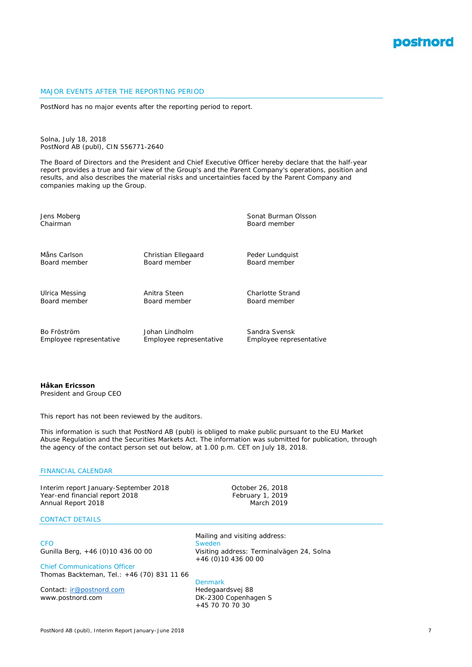

### MAJOR EVENTS AFTER THE REPORTING PERIOD

PostNord has no major events after the reporting period to report.

Solna, July 18, 2018 PostNord AB (publ), CIN 556771-2640

The Board of Directors and the President and Chief Executive Officer hereby declare that the half-year report provides a true and fair view of the Group's and the Parent Company's operations, position and results, and also describes the material risks and uncertainties faced by the Parent Company and companies making up the Group.

*Jens Moberg Sonat Burman Olsson Chairman Board member Måns Carlson Christian Ellegaard Peder Lundquist Board member Board member Board member Ulrica Messing Anitra Steen Charlotte Strand Board member Board member Board member Bo Fröström Johan Lindholm Sandra Svensk Employee representative Employee representative Employee representative*

**Håkan Ericsson** *President and Group CEO*

This report has not been reviewed by the auditors.

This information is such that PostNord AB (publ) is obliged to make public pursuant to the EU Market Abuse Regulation and the Securities Markets Act. The information was submitted for publication, through the agency of the contact person set out below, at 1.00 p.m. CET on July 18, 2018.

### FINANCIAL CALENDAR

Interim report January-September 2018 October 26, 2018 Year-end financial report 2018<br>Annual Report 2018 February 1, 2019 Annual Report 2018

### CONTACT DETAILS

Chief Communications Officer Thomas Backteman, Tel.: +46 (70) 831 11 66

Contact: [ir@postnord.com](mailto:ir@postnord.com) www.postnord.com DK-2300 Copenhagen S

Mailing and visiting address: CFO Sweden Sweden Sweden Sweden Sweden Sweden Sweden Sweden Sweden Sweden Sweden Sweden Sweden Sweden Sweden S Gunilla Berg, +46 (0)10 436 00 00 Visiting address: Terminalvägen 24, Solna +46 (0)10 436 00 00

> Denmark<br>Hedegaardsvej 88 +45 70 70 70 30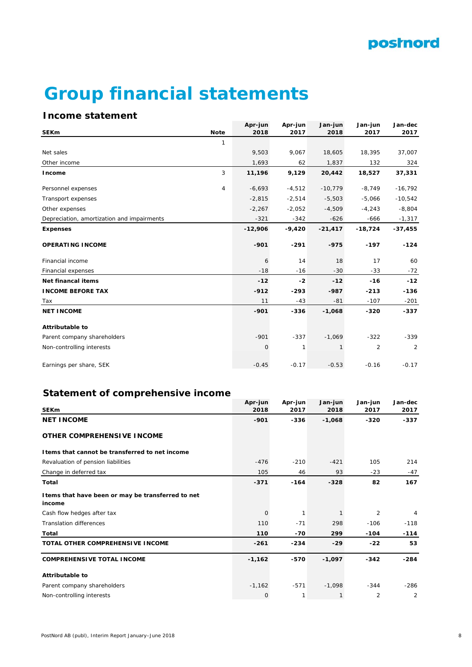

# **Group financial statements**

# **Income statement**

|                                            |                | Apr-jun   | Apr-jun  | Jan-jun   | Jan-jun        | Jan-dec   |
|--------------------------------------------|----------------|-----------|----------|-----------|----------------|-----------|
| <b>SEKm</b>                                | <b>Note</b>    | 2018      | 2017     | 2018      | 2017           | 2017      |
|                                            | $\mathbf{1}$   |           |          |           |                |           |
| Net sales                                  |                | 9,503     | 9,067    | 18,605    | 18,395         | 37,007    |
| Other income                               |                | 1,693     | 62       | 1,837     | 132            | 324       |
| Income                                     | 3              | 11,196    | 9,129    | 20,442    | 18,527         | 37,331    |
| Personnel expenses                         | $\overline{4}$ | $-6,693$  | $-4,512$ | $-10,779$ | $-8,749$       | $-16,792$ |
| Transport expenses                         |                | $-2,815$  | $-2,514$ | $-5,503$  | $-5,066$       | $-10,542$ |
| Other expenses                             |                | $-2,267$  | $-2,052$ | $-4,509$  | $-4,243$       | $-8,804$  |
| Depreciation, amortization and impairments |                | $-321$    | $-342$   | $-626$    | $-666$         | $-1,317$  |
| <b>Expenses</b>                            |                | $-12,906$ | $-9,420$ | $-21,417$ | $-18,724$      | $-37,455$ |
| <b>OPERATING INCOME</b>                    |                | $-901$    | $-291$   | $-975$    | $-197$         | $-124$    |
| Financial income                           |                | 6         | 14       | 18        | 17             | 60        |
| Financial expenses                         |                | $-18$     | $-16$    | $-30$     | $-33$          | $-72$     |
| Net financal items                         |                | $-12$     | $-2$     | $-12$     | $-16$          | $-12$     |
| <b>INCOME BEFORE TAX</b>                   |                | $-912$    | $-293$   | -987      | $-213$         | $-136$    |
| Tax                                        |                | 11        | $-43$    | $-81$     | $-107$         | $-201$    |
| <b>NET INCOME</b>                          |                | $-901$    | $-336$   | $-1,068$  | $-320$         | $-337$    |
| <b>Attributable to</b>                     |                |           |          |           |                |           |
| Parent company shareholders                |                | $-901$    | $-337$   | $-1,069$  | $-322$         | $-339$    |
| Non-controlling interests                  |                | 0         | 1        | 1         | $\overline{2}$ | 2         |
| Earnings per share, SEK                    |                | $-0.45$   | $-0.17$  | $-0.53$   | $-0.16$        | $-0.17$   |

# **Statement of comprehensive income**

|                                                              | Apr-jun     | Apr-jun | Jan-jun  | Jan-jun | Jan-dec |
|--------------------------------------------------------------|-------------|---------|----------|---------|---------|
| <b>SEKm</b>                                                  | 2018        | 2017    | 2018     | 2017    | 2017    |
| <b>NET INCOME</b>                                            | $-901$      | $-336$  | $-1,068$ | $-320$  | $-337$  |
| <b>OTHER COMPREHENSIVE INCOME</b>                            |             |         |          |         |         |
| I tems that cannot be transferred to net income              |             |         |          |         |         |
| Revaluation of pension liabilities                           | $-476$      | $-210$  | $-421$   | 105     | 214     |
| Change in deferred tax                                       | 105         | 46      | 93       | $-23$   | $-47$   |
| Total                                                        | $-371$      | $-164$  | $-328$   | 82      | 167     |
| I tems that have been or may be transferred to net<br>income |             |         |          |         |         |
| Cash flow hedges after tax                                   | $\mathbf 0$ | 1       |          | 2       | 4       |
| <b>Translation differences</b>                               | 110         | $-71$   | 298      | $-106$  | $-118$  |
| Total                                                        | 110         | $-70$   | 299      | $-104$  | $-114$  |
| <b>TOTAL OTHER COMPREHENSIVE INCOME</b>                      | $-261$      | $-234$  | $-29$    | $-22$   | 53      |
| <b>COMPREHENSIVE TOTAL INCOME</b>                            | $-1,162$    | -570    | $-1,097$ | $-342$  | $-284$  |
| <b>Attributable to</b>                                       |             |         |          |         |         |
| Parent company shareholders                                  | $-1,162$    | $-571$  | $-1,098$ | $-344$  | $-286$  |
| Non-controlling interests                                    | $\mathbf 0$ | 1       | 1        | 2       | 2       |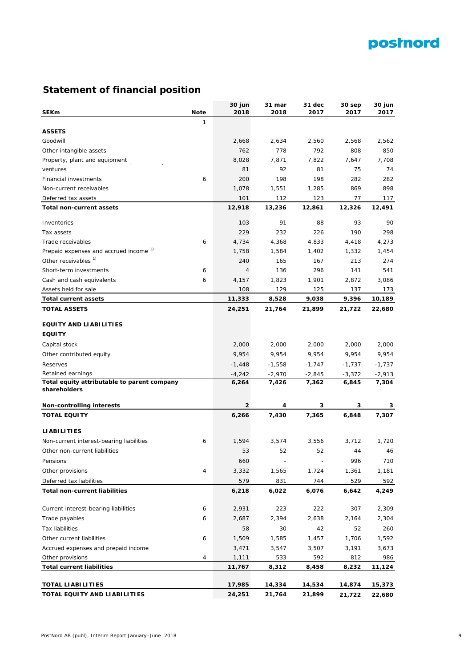# postnord

# **Statement of financial position**

| <b>SEKm</b>                                         | <b>Note</b> | 30 jun<br>2018 | 31 mar<br>2018 | 31 dec<br>2017           | 30 sep<br>2017 | 30 jun<br>2017 |
|-----------------------------------------------------|-------------|----------------|----------------|--------------------------|----------------|----------------|
|                                                     | 1           |                |                |                          |                |                |
| <b>ASSETS</b>                                       |             |                |                |                          |                |                |
| Goodwill                                            |             | 2,668          | 2,634          | 2,560                    | 2,568          | 2,562          |
| Other intangible assets                             |             | 762            | 778            | 792                      | 808            | 850            |
| Property, plant and equipment                       |             | 8,028          | 7,871          | 7,822                    | 7,647          | 7,708          |
| ventures                                            |             | 81             | 92             | 81                       | 75             | 74             |
| <b>Financial investments</b>                        | 6           | 200            | 198            | 198                      | 282            | 282            |
| Non-current receivables                             |             | 1,078          | 1,551          | 1,285                    | 869            | 898            |
| Deferred tax assets                                 |             | 101            | 112            | 123                      | 77             | 117            |
| <b>Total non-current assets</b>                     |             | 12,918         | 13,236         | 12,861                   | 12,326         | 12,491         |
| Inventories                                         |             | 103            | 91             | 88                       | 93             | 90             |
| Tax assets                                          |             | 229            | 232            | 226                      | 190            | 298            |
| Trade receivables                                   | 6           | 4,734          | 4,368          | 4,833                    | 4,418          | 4,273          |
| Prepaid expenses and accrued income <sup>1)</sup>   |             | 1,758          | 1,584          | 1,402                    | 1,332          | 1,454          |
| Other receivables <sup>1)</sup>                     |             | 240            | 165            | 167                      | 213            | 274            |
| Short-term investments                              | 6           | 4              | 136            | 296                      | 141            | 541            |
| Cash and cash equivalents                           | 6           | 4,157          | 1,823          | 1,901                    | 2,872          | 3,086          |
| Assets held for sale                                |             | 108            | 129            | 125                      | 137            | 173            |
| <b>Total current assets</b>                         |             | 11,333         | 8,528          | 9,038                    | 9,396          | 10,189         |
| <b>TOTAL ASSETS</b>                                 |             | 24,251         | 21,764         | 21,899                   | 21,722         | 22,680         |
| <b>EQUITY AND LIABILITIES</b>                       |             |                |                |                          |                |                |
| <b>EQUITY</b>                                       |             |                |                |                          |                |                |
| Capital stock                                       |             | 2,000          | 2,000          | 2,000                    | 2,000          | 2,000          |
| Other contributed equity                            |             | 9,954          | 9,954          | 9,954                    | 9,954          | 9,954          |
| Reserves                                            |             | $-1,448$       | $-1,558$       | $-1,747$                 | $-1,737$       | -1,737         |
| Retained earnings                                   |             | $-4,242$       | $-2,970$       | $-2,845$                 | $-3,372$       | -2,913         |
| Total equity attributable to parent company         |             | 6,264          | 7,426          | 7,362                    | 6,845          | 7,304          |
| shareholders                                        |             |                |                |                          |                |                |
| <b>Non-controlling interests</b>                    |             | 2              | 4              | 3                        | 3              | 3              |
| <b>TOTAL EQUITY</b>                                 |             | 6,266          | 7,430          | 7,365                    | 6,848          | 7,307          |
| <b>LIABILITIES</b>                                  |             |                |                |                          |                |                |
| Non-current interest-bearing liabilities            | 6           | 1,594          | 3,574          | 3,556                    | 3,712          | 1,720          |
| Other non-current liabilities                       |             | 53             | 52             | 52                       | 44             | 46             |
| Pensions                                            |             | 660            | $\overline{a}$ | $\overline{\phantom{a}}$ | 996            | 710            |
| Other provisions                                    | 4           | 3,332          | 1,565          | 1,724                    | 1,361          | 1,181          |
| Deferred tax liabilities                            |             | 579            | 831            | 744                      | 529            | 592            |
| <b>Total non-current liabilities</b>                |             | 6,218          | 6,022          | 6,076                    | 6,642          | 4,249          |
| Current interest-bearing liabilities                | 6           | 2,931          | 223            | 222                      | 307            | 2,309          |
| Trade payables                                      | 6           | 2,687          | 2,394          | 2,638                    | 2,164          | 2,304          |
|                                                     |             |                |                |                          |                |                |
| <b>Tax liabilities</b><br>Other current liabilities |             | 58             | 30             | 42                       | 52<br>1,706    | 260            |
|                                                     | 6           | 1,509          | 1,585          | 1,457                    |                | 1,592          |
| Accrued expenses and prepaid income                 |             | 3,471          | 3,547          | 3,507                    | 3,191          | 3,673          |
| Other provisions                                    | 4           | 1,111          | 533            | 592                      | 812            | 986            |
| <b>Total current liabilities</b>                    |             | 11,767         | 8,312          | 8,458                    | 8,232          | 11,124         |
| <b>TOTAL LIABILITIES</b>                            |             | 17,985         | 14,334         | 14,534                   | 14,874         | 15,373         |
| TOTAL EQUITY AND LIABILITIES                        |             | 24,251         | 21,764         | 21,899                   | 21,722         | 22,680         |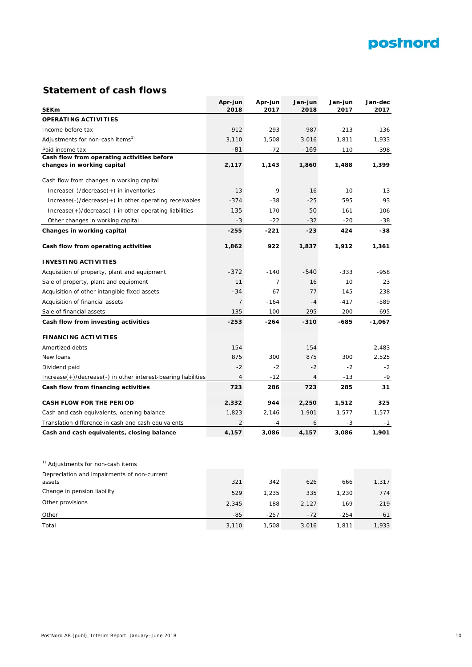

# **Statement of cash flows**

|                                                               | Apr-jun        | Apr-jun        | Jan-jun        | Jan-jun | Jan-dec  |
|---------------------------------------------------------------|----------------|----------------|----------------|---------|----------|
| <b>SEKm</b>                                                   | 2018           | 2017           | 2018           | 2017    | 2017     |
| <b>OPERATING ACTIVITIES</b>                                   |                |                |                |         |          |
| Income before tax                                             | $-912$         | $-293$         | $-987$         | $-213$  | $-136$   |
| Adjustments for non-cash items <sup>1)</sup>                  | 3,110          | 1,508          | 3,016          | 1,811   | 1,933    |
| Paid income tax                                               | -81            | $-72$          | $-169$         | $-110$  | -398     |
| Cash flow from operating activities before                    |                |                |                |         |          |
| changes in working capital                                    | 2,117          | 1,143          | 1,860          | 1,488   | 1,399    |
| Cash flow from changes in working capital                     |                |                |                |         |          |
| $Increase(-)/decrease(+)$ in inventories                      | $-13$          | 9              | $-16$          | 10      | 13       |
| $Increase(-)/decrease(+)$ in other operating receivables      | $-374$         | -38            | $-25$          | 595     | 93       |
| Increase(+)/decrease(-) in other operating liabilities        | 135            | $-170$         | 50             | $-161$  | $-106$   |
| Other changes in working capital                              | $-3$           | $-22$          | $-32$          | $-20$   | -38      |
| Changes in working capital                                    | $-255$         | $-221$         | $-23$          | 424     | -38      |
| Cash flow from operating activities                           | 1,862          | 922            | 1,837          | 1,912   | 1,361    |
| <b>INVESTING ACTIVITIES</b>                                   |                |                |                |         |          |
| Acquisition of property, plant and equipment                  | $-372$         | $-140$         | -540           | $-333$  | $-958$   |
| Sale of property, plant and equipment                         | 11             | $\overline{7}$ | 16             | 10      | 23       |
| Acquisition of other intangible fixed assets                  | $-34$          | $-67$          | $-77$          | $-145$  | $-238$   |
| Acquisition of financial assets                               | 7              | $-164$         | $-4$           | $-417$  | -589     |
| Sale of financial assets                                      | 135            | 100            | 295            | 200     | 695      |
| Cash flow from investing activities                           | $-253$         | $-264$         | $-310$         | -685    | $-1,067$ |
| <b>FINANCING ACTIVITIES</b>                                   |                |                |                |         |          |
| Amortized debts                                               | $-154$         |                | $-154$         |         | $-2,483$ |
| New loans                                                     | 875            | 300            | 875            | 300     | 2,525    |
| Dividend paid                                                 | $-2$           | $-2$           | $-2$           | $-2$    | $-2$     |
| Increase(+)/decrease(-) in other interest-bearing liabilities | 4              | $-12$          | $\overline{4}$ | $-13$   | $-9$     |
| Cash flow from financing activities                           | 723            | 286            | 723            | 285     | 31       |
| <b>CASH FLOW FOR THE PERIOD</b>                               | 2,332          | 944            | 2,250          | 1,512   | 325      |
| Cash and cash equivalents, opening balance                    | 1,823          | 2,146          | 1,901          | 1,577   | 1,577    |
| Translation difference in cash and cash equivalents           | $\overline{2}$ | $-4$           | 6              | $-3$    | $-1$     |
| Cash and cash equivalents, closing balance                    | 4,157          | 3,086          | 4,157          | 3,086   | 1,901    |
|                                                               |                |                |                |         |          |
| <sup>1)</sup> Adjustments for non-cash items                  |                |                |                |         |          |
| Depreciation and impairments of non-current                   |                |                |                |         |          |
| assets                                                        | 321            | 342            | 626            | 666     | 1,317    |
| Change in pension liability                                   | 529            | 1,235          | 335            | 1,230   | 774      |
| Other provisions                                              | 2,345          | 188            | 2,127          | 169     | $-219$   |
| Other                                                         | -85            | $-257$         | $-72$          | -254    | 61       |
| Total                                                         | 3,110          | 1,508          | 3,016          | 1,811   | 1,933    |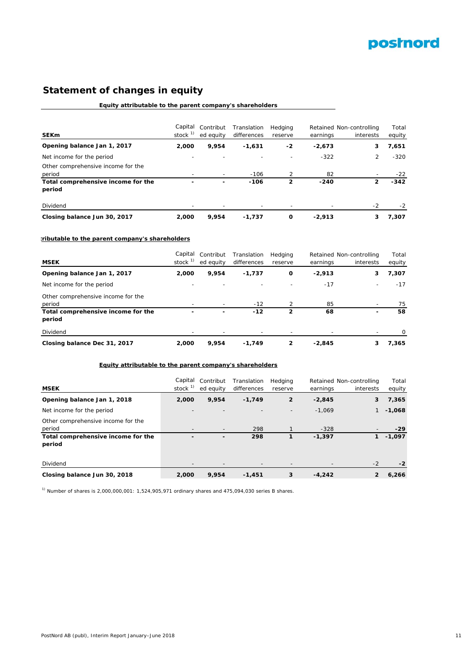

# **Statement of changes in equity**

### **Equity attributable to the parent company's shareholders**

| <b>SEKm</b>                                  | Capital<br>stock <sup>1)</sup> | Contribut<br>ed equity   | Translation<br>differences | Hedging<br>reserve | earnings | Retained Non-controlling<br>interests | Total<br>equity |
|----------------------------------------------|--------------------------------|--------------------------|----------------------------|--------------------|----------|---------------------------------------|-----------------|
| Opening balance Jan 1, 2017                  | 2,000                          | 9.954                    | $-1,631$                   | -2                 | $-2.673$ | 3                                     | 7,651           |
| Net income for the period                    |                                |                          |                            |                    | $-322$   | $\overline{2}$                        | $-320$          |
| Other comprehensive income for the<br>period |                                | $\overline{\phantom{0}}$ | $-106$                     |                    | 82       |                                       | $-22$           |
| Total comprehensive income for the<br>period | -                              | -                        | $-106$                     | 2                  | $-240$   | 2                                     | $-342$          |
| Dividend                                     |                                |                          |                            |                    |          | $-2$                                  | $-2$            |
| Closing balance Jun 30, 2017                 | 2,000                          | 9.954                    | $-1.737$                   | O                  | $-2.913$ | 3                                     | 7.307           |

### **tributable to the parent company's shareholders**

|                                    | Capital   | Contribut | Translation | Hedging |          | Retained Non-controlling | Total  |
|------------------------------------|-----------|-----------|-------------|---------|----------|--------------------------|--------|
| <b>MSEK</b>                        | stock $1$ | ed equity | differences | reserve | earnings | interests                | equity |
| Opening balance Jan 1, 2017        | 2,000     | 9.954     | $-1.737$    | O       | $-2,913$ | 3                        | 7,307  |
| Net income for the period          |           |           |             |         | $-17$    | $\overline{\phantom{a}}$ | $-17$  |
| Other comprehensive income for the |           |           |             |         |          |                          |        |
| period                             |           |           | $-12$       |         | 85       |                          | 75     |
| Total comprehensive income for the |           | -         | $-12$       | 2       | 68       | ۰                        | 58     |
| period                             |           |           |             |         |          |                          |        |
| Dividend                           |           |           |             |         |          |                          |        |
| Closing balance Dec 31, 2017       | 2,000     | 9.954     | $-1.749$    | 2       | $-2.845$ | 3                        | 7,365  |

### **Equity attributable to the parent company's shareholders**

| <b>MSEK</b>                                  | Capital<br>stock $1$ | Contribut<br>ed equity   | Translation<br>differences | Hedging<br>reserve | earnings | Retained Non-controlling<br>interests | Total<br>equity |
|----------------------------------------------|----------------------|--------------------------|----------------------------|--------------------|----------|---------------------------------------|-----------------|
| Opening balance Jan 1, 2018                  | 2,000                | 9,954                    | $-1,749$                   | $\overline{2}$     | $-2,845$ | 3                                     | 7,365           |
| Net income for the period                    |                      |                          |                            |                    | $-1.069$ |                                       | $-1,068$        |
| Other comprehensive income for the<br>period |                      | $\overline{\phantom{0}}$ | 298                        |                    | $-328$   |                                       | $-29$           |
| Total comprehensive income for the<br>period | -                    | -                        | 298                        |                    | $-1,397$ | 1                                     | $-1,097$        |
| Dividend                                     |                      |                          |                            |                    |          | $-2$                                  | $-2$            |
| Closing balance Jun 30, 2018                 | 2,000                | 9,954                    | $-1.451$                   | 3                  | $-4,242$ | 2                                     | 6,266           |

 $1)$  Number of shares is 2,000,000,001: 1,524,905,971 ordinary shares and 475,094,030 series B shares.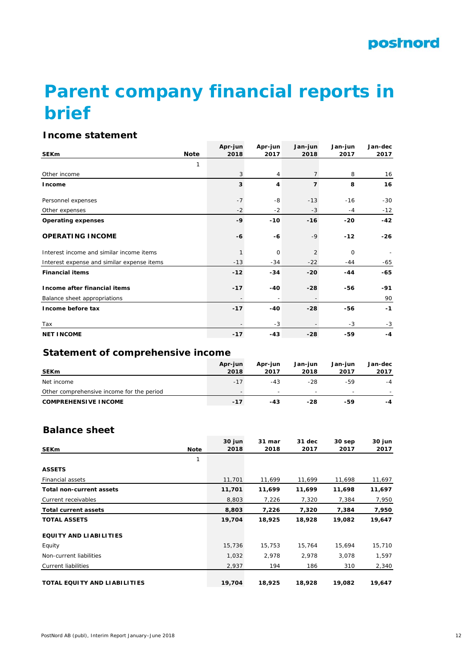# **Parent company financial reports in brief**

# **Income statement**

|                                            |             | Apr-jun | Apr-jun | Jan-jun        | Jan-jun     | Jan-dec |
|--------------------------------------------|-------------|---------|---------|----------------|-------------|---------|
| <b>SEKm</b>                                | <b>Note</b> | 2018    | 2017    | 2018           | 2017        | 2017    |
|                                            | 1           |         |         |                |             |         |
| Other income                               |             | 3       | 4       | $\overline{7}$ | 8           | 16      |
| Income                                     |             | 3       | 4       | $\overline{ }$ | 8           | 16      |
| Personnel expenses                         |             | $-7$    | $-8$    | $-13$          | $-16$       | $-30$   |
| Other expenses                             |             | $-2$    | $-2$    | $-3$           | $-4$        | $-12$   |
| <b>Operating expenses</b>                  |             | $-9$    | $-10$   | $-16$          | $-20$       | $-42$   |
| <b>OPERATING INCOME</b>                    |             | -6      | -6      | $-9$           | $-12$       | $-26$   |
| Interest income and similar income items   |             |         | 0       | 2              | $\mathbf 0$ |         |
| Interest expense and similar expense items |             | $-13$   | $-34$   | $-22$          | $-44$       | -65     |
| <b>Financial items</b>                     |             | $-12$   | $-34$   | $-20$          | $-44$       | $-65$   |
| Income after financial items               |             | $-17$   | -40     | $-28$          | -56         | -91     |
| Balance sheet appropriations               |             |         | ۰       |                |             | 90      |
| Income before tax                          |             | $-17$   | $-40$   | $-28$          | -56         | $-1$    |
| Tax                                        |             |         | $-3$    |                | -3          | $-3$    |
| <b>NET INCOME</b>                          |             | $-17$   | $-43$   | $-28$          | $-59$       | -4      |

# **Statement of comprehensive income**

| <b>SEKm</b>                               | Apr-jun<br>2018 | Apr-jun<br>2017          | Jan-jun<br>2018 | Jan-iun<br>2017 | Jan-dec<br>2017 |
|-------------------------------------------|-----------------|--------------------------|-----------------|-----------------|-----------------|
| Net income                                | $-17$           | $-43$                    | -28             | -59             | $-4$            |
| Other comprehensive income for the period |                 | $\overline{\phantom{0}}$ |                 |                 |                 |
| <b>COMPREHENSIVE INCOME</b>               | $-17$           | $-43$                    | -28             | -59             | -4              |

### **Balance sheet**

| <b>SEKm</b>                     | <b>Note</b> | 30 jun<br>2018 | 31 mar<br>2018 | 31 dec<br>2017 | 30 sep<br>2017 | 30 jun<br>2017 |
|---------------------------------|-------------|----------------|----------------|----------------|----------------|----------------|
|                                 | 1           |                |                |                |                |                |
| <b>ASSETS</b>                   |             |                |                |                |                |                |
| <b>Financial assets</b>         |             | 11,701         | 11,699         | 11,699         | 11,698         | 11,697         |
| <b>Total non-current assets</b> |             | 11,701         | 11,699         | 11,699         | 11,698         | 11,697         |
| Current receivables             |             | 8,803          | 7,226          | 7,320          | 7,384          | 7,950          |
| <b>Total current assets</b>     |             | 8,803          | 7,226          | 7,320          | 7,384          | 7,950          |
| <b>TOTAL ASSETS</b>             |             | 19,704         | 18,925         | 18,928         | 19,082         | 19,647         |
| <b>EQUITY AND LIABILITIES</b>   |             |                |                |                |                |                |
| Equity                          |             | 15,736         | 15,753         | 15,764         | 15,694         | 15,710         |
| Non-current liabilities         |             | 1,032          | 2,978          | 2,978          | 3,078          | 1,597          |
| Current liabilities             |             | 2,937          | 194            | 186            | 310            | 2,340          |
| TOTAL EQUITY AND LIABILITIES    |             | 19,704         | 18,925         | 18,928         | 19,082         | 19,647         |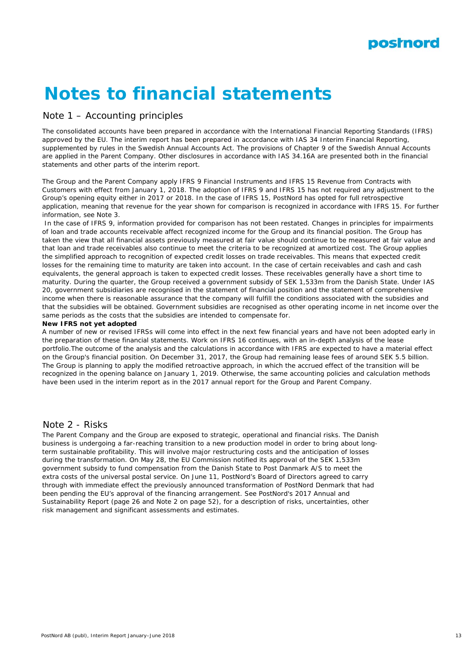

# **Notes to financial statements**

### Note 1 – Accounting principles

The consolidated accounts have been prepared in accordance with the International Financial Reporting Standards (IFRS) approved by the EU. The interim report has been prepared in accordance with IAS 34 Interim Financial Reporting, supplemented by rules in the Swedish Annual Accounts Act. The provisions of Chapter 9 of the Swedish Annual Accounts are applied in the Parent Company. Other disclosures in accordance with IAS 34.16A are presented both in the financial statements and other parts of the interim report.

The Group and the Parent Company apply IFRS 9 Financial Instruments and IFRS 15 Revenue from Contracts with Customers with effect from January 1, 2018. The adoption of IFRS 9 and IFRS 15 has not required any adjustment to the Group's opening equity either in 2017 or 2018. In the case of IFRS 15, PostNord has opted for full retrospective application, meaning that revenue for the year shown for comparison is recognized in accordance with IFRS 15. For further information, see Note 3.

 In the case of IFRS 9, information provided for comparison has not been restated. Changes in principles for impairments of loan and trade accounts receivable affect recognized income for the Group and its financial position. The Group has taken the view that all financial assets previously measured at fair value should continue to be measured at fair value and that loan and trade receivables also continue to meet the criteria to be recognized at amortized cost. The Group applies the simplified approach to recognition of expected credit losses on trade receivables. This means that expected credit losses for the remaining time to maturity are taken into account. In the case of certain receivables and cash and cash equivalents, the general approach is taken to expected credit losses. These receivables generally have a short time to maturity. During the quarter, the Group received a government subsidy of SEK 1,533m from the Danish State. Under IAS 20, government subsidiaries are recognised in the statement of financial position and the statement of comprehensive income when there is reasonable assurance that the company will fulfill the conditions associated with the subsidies and that the subsidies will be obtained. Government subsidies are recognised as other operating income in net income over the same periods as the costs that the subsidies are intended to compensate for.

### **New IFRS not yet adopted**

A number of new or revised IFRSs will come into effect in the next few financial years and have not been adopted early in the preparation of these financial statements. Work on IFRS 16 continues, with an in-depth analysis of the lease portfolio.The outcome of the analysis and the calculations in accordance with IFRS are expected to have a material effect on the Group's financial position. On December 31, 2017, the Group had remaining lease fees of around SEK 5.5 billion. The Group is planning to apply the modified retroactive approach, in which the accrued effect of the transition will be recognized in the opening balance on January 1, 2019. Otherwise, the same accounting policies and calculation methods have been used in the interim report as in the 2017 annual report for the Group and Parent Company.

### Note 2 - Risks

The Parent Company and the Group are exposed to strategic, operational and financial risks. The Danish business is undergoing a far-reaching transition to a new production model in order to bring about longterm sustainable profitability. This will involve major restructuring costs and the anticipation of losses during the transformation. On May 28, the EU Commission notified its approval of the SEK 1,533m government subsidy to fund compensation from the Danish State to Post Danmark A/S to meet the extra costs of the universal postal service. On June 11, PostNord's Board of Directors agreed to carry through with immediate effect the previously announced transformation of PostNord Denmark that had been pending the EU's approval of the financing arrangement. See PostNord's 2017 Annual and Sustainability Report (page 26 and Note 2 on page 52), for a description of risks, uncertainties, other risk management and significant assessments and estimates.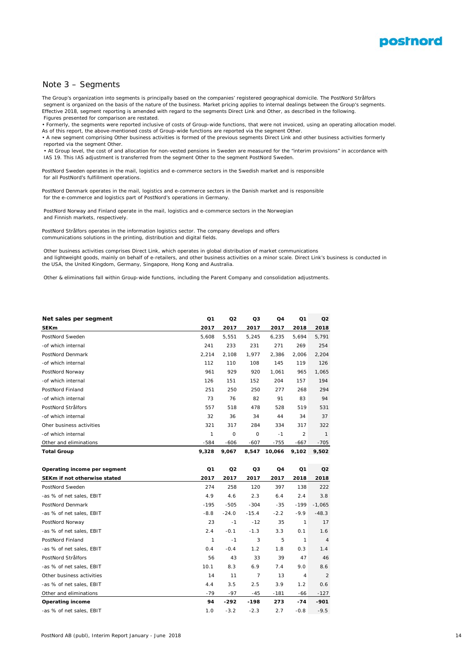

### Note 3 – Segments

The Group's organization into segments is principally based on the companies' registered geographical domicile. The PostNord Strålfors segment is organized on the basis of the nature of the business. Market pricing applies to internal dealings between the Group's segments. Effective 2018, segment reporting is amended with regard to the segments Direct Link and Other, as described in the following. Figures presented for comparison are restated.

• Formerly, the segments were reported inclusive of costs of Group-wide functions, that were not invoiced, using an operating allocation model. As of this report, the above-mentioned costs of Group-wide functions are reported via the segment Other.

• A new segment comprising Other business activities is formed of the previous segments Direct Link and other business activities formerly reported via the segment Other.

 • At Group level, the cost of and allocation for non-vested pensions in Sweden are measured for the "interim provisions" in accordance with IAS 19. This IAS adjustment is transferred from the segment Other to the segment PostNord Sweden.

PostNord Sweden operates in the mail, logistics and e-commerce sectors in the Swedish market and is responsible for all PostNord's fulfillment operations.

PostNord Denmark operates in the mail, logistics and e-commerce sectors in the Danish market and is responsible for the e-commerce and logistics part of PostNord's operations in Germany.

 PostNord Norway and Finland operate in the mail, logistics and e-commerce sectors in the Norwegian and Finnish markets, respectively.

PostNord Strålfors operates in the information logistics sector. The company develops and offers communications solutions in the printing, distribution and digital fields.

 Other business activities comprises Direct Link, which operates in global distribution of market communications and lightweight goods, mainly on behalf of e-retailers, and other business activities on a minor scale. Direct Link's business is conducted in the USA, the United Kingdom, Germany, Singapore, Hong Kong and Australia.

Other & eliminations fall within Group-wide functions, including the Parent Company and consolidation adjustments.

| Net sales per segment        | Q1            | Q2      | Q3             | Q4     | Q <sub>1</sub> | Q <sub>2</sub> |
|------------------------------|---------------|---------|----------------|--------|----------------|----------------|
| <b>SEKm</b>                  | 2017          | 2017    | 2017           | 2017   | 2018           | 2018           |
| PostNord Sweden              | 5,608         | 5,551   | 5,245          | 6,235  | 5,694          | 5,791          |
| -of which internal           | 241           | 233     | 231            | 271    | 269            | 254            |
| PostNord Denmark             | 2,214         | 2,108   | 1,977          | 2,386  | 2,006          | 2,204          |
| -of which internal           | 112           | 110     | 108            | 145    | 119            | 126            |
| PostNord Norway              | 961           | 929     | 920            | 1,061  | 965            | 1,065          |
| -of which internal           | 126           | 151     | 152            | 204    | 157            | 194            |
| PostNord Finland             | 251           | 250     | 250            | 277    | 268            | 294            |
| -of which internal           | 73            | 76      | 82             | 91     | 83             | 94             |
| PostNord Strålfors           | 557           | 518     | 478            | 528    | 519            | 531            |
| -of which internal           | 32            | 36      | 34             | 44     | 34             | 37             |
| Oher business activities     | 321           | 317     | 284            | 334    | 317            | 322            |
| -of which internal           | $\mathcal{I}$ | 0       | 0              | $-1$   | $\overline{a}$ | $\mathcal{I}$  |
| Other and eliminations       | $-584$        | -606    | $-607$         | -755   | $-667$         | $-705$         |
| <b>Total Group</b>           | 9,328         | 9,067   | 8,547          | 10,066 | 9,102          | 9,502          |
|                              |               |         |                |        |                |                |
|                              |               |         |                |        |                |                |
| Operating income per segment | Q1            | Q2      | Q3             | Q4     | Q1             | Q <sub>2</sub> |
| SEKm if not otherwise stated | 2017          | 2017    | 2017           | 2017   | 2018           | 2018           |
| PostNord Sweden              | 274           | 258     | 120            | 397    | 138            | 222            |
| -as % of net sales, EBIT     | 4.9           | 4.6     | 2.3            | 6.4    | 2.4            | 3.8            |
| PostNord Denmark             | $-195$        | $-505$  | $-304$         | $-35$  | -199           | $-1,065$       |
| -as % of net sales, EBIT     | $-8.8$        | $-24.0$ | $-15.4$        | $-2.2$ | $-9.9$         | $-48.3$        |
| PostNord Norway              | 23            | $-1$    | $-12$          | 35     | 1              | 17             |
| -as % of net sales, EBIT     | 2.4           | $-0.1$  | $-1.3$         | 3.3    | 0.1            | 1.6            |
| PostNord Finland             | 1             | $-1$    | 3              | 5      | $\mathbf{1}$   | $\overline{4}$ |
| -as % of net sales, EBIT     | 0.4           | $-0.4$  | 1.2            | 1.8    | 0.3            | 1.4            |
| PostNord Strålfors           | 56            | 43      | 33             | 39     | 47             | 46             |
| -as % of net sales, EBIT     | 10.1          | 8.3     | 6.9            | 7.4    | 9.0            | 8.6            |
| Other business activities    | 14            | 11      | $\overline{7}$ | 13     | $\overline{4}$ | 2              |
| -as % of net sales, EBIT     | 4.4           | 3.5     | 2.5            | 3.9    | 1.2            | 0.6            |
| Other and eliminations       | $-79$         | -97     | $-45$          | -181   | -66            | $-127$         |
| <b>Operating income</b>      | 94            | -292    | $-198$         | 273    | $-74$          | $-901$         |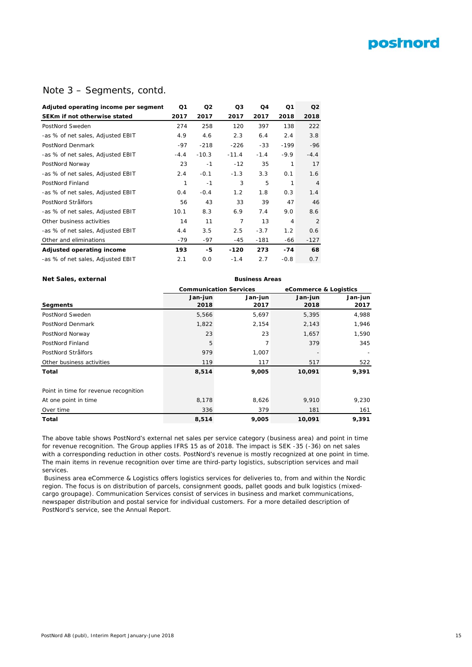# **postnord**

### Note 3 – Segments, contd.

| Q1     | Q <sub>2</sub> | Q3            | Q4     | Q <sub>1</sub> | Q <sub>2</sub> |
|--------|----------------|---------------|--------|----------------|----------------|
| 2017   | 2017           | 2017          | 2017   | 2018           | 2018           |
| 274    | 258            | 120           | 397    | 138            | 222            |
| 4.9    | 4.6            | 2.3           | 6.4    | 2.4            | 3.8            |
| $-97$  | $-218$         | $-226$        | $-33$  | $-199$         | $-96$          |
| $-4.4$ | $-10.3$        | $-11.4$       | $-1.4$ | $-9.9$         | $-4.4$         |
| 23     | $-1$           | $-12$         | 35     | 1              | 17             |
| 2.4    | $-0.1$         | $-1.3$        | 3.3    | 0.1            | 1.6            |
| 1      | $-1$           | 3             | 5      | 1              | $\overline{4}$ |
| 0.4    | $-0.4$         | $1.2^{\circ}$ | 1.8    | 0.3            | 1.4            |
| 56     | 43             | 33            | 39     | 47             | 46             |
| 10.1   | 8.3            | 6.9           | 7.4    | 9.0            | 8.6            |
| 14     | 11             | 7             | 13     | 4              | $\overline{2}$ |
| 4.4    | 3.5            | 2.5           | $-3.7$ | $1.2^{\circ}$  | 0.6            |
| -79    | -97            | $-45$         | $-181$ | -66            | $-127$         |
| 193    | -5             | -120          | 273    | $-74$          | 68             |
| 2.1    | O.O            | $-1.4$        | 2.7    | $-0.8$         | 0.7            |
|        |                |               |        |                |                |

### **Net Sales, external** *Business Areas*

|                                       |         | <b>Communication Services</b> |         | eCommerce & Logistics |  |  |
|---------------------------------------|---------|-------------------------------|---------|-----------------------|--|--|
|                                       | Jan-jun | Jan-jun                       | Jan-jun | Jan-jun               |  |  |
| Segments                              | 2018    | 2017                          | 2018    | 2017                  |  |  |
| PostNord Sweden                       | 5,566   | 5,697                         | 5,395   | 4,988                 |  |  |
| PostNord Denmark                      | 1,822   | 2,154                         | 2,143   | 1,946                 |  |  |
| PostNord Norway                       | 23      | 23                            | 1,657   | 1,590                 |  |  |
| PostNord Finland                      | 5       | 7                             | 379     | 345                   |  |  |
| PostNord Strålfors                    | 979     | 1,007                         |         |                       |  |  |
| Other business activities             | 119     | 117                           | 517     | 522                   |  |  |
| Total                                 | 8,514   | 9,005                         | 10,091  | 9,391                 |  |  |
| Point in time for revenue recognition |         |                               |         |                       |  |  |
| At one point in time                  | 8,178   | 8,626                         | 9,910   | 9,230                 |  |  |
| Over time                             | 336     | 379                           | 181     | 161                   |  |  |
| Total                                 | 8,514   | 9,005                         | 10,091  | 9,391                 |  |  |

The above table shows PostNord's external net sales per service category (business area) and point in time for revenue recognition. The Group applies IFRS 15 as of 2018. The impact is SEK -35 (-36) on net sales with a corresponding reduction in other costs. PostNord's revenue is mostly recognized at one point in time. The main items in revenue recognition over time are third-party logistics, subscription services and mail services.

 Business area eCommerce & Logistics offers logistics services for deliveries to, from and within the Nordic region. The focus is on distribution of parcels, consignment goods, pallet goods and bulk logistics (mixedcargo groupage). Communication Services consist of services in business and market communications, newspaper distribution and postal service for individual customers. For a more detailed description of PostNord's service, see the Annual Report.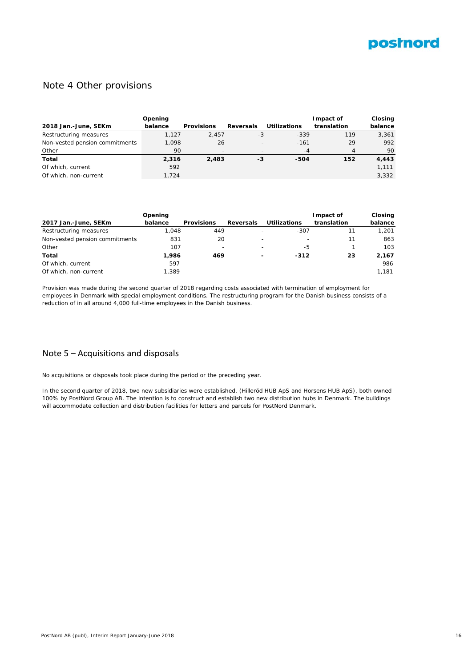

### Note 4 Other provisions

|                                | Opening |                          |                          |                     | Impact of   | Closing |
|--------------------------------|---------|--------------------------|--------------------------|---------------------|-------------|---------|
| 2018 Jan.-June, SEKm           | balance | <b>Provisions</b>        | <b>Reversals</b>         | <b>Utilizations</b> | translation | balance |
| Restructuring measures         | 1.127   | 2.457                    | -3                       | $-339$              | 119         | 3.361   |
| Non-vested pension commitments | 1.098   | 26                       | $\overline{\phantom{a}}$ | $-161$              | 29          | 992     |
| Other                          | 90      | $\overline{\phantom{0}}$ |                          | $-4$                | 4           | 90      |
| Total                          | 2.316   | 2,483                    | -3                       | -504                | 152         | 4,443   |
| Of which, current              | 592     |                          |                          |                     |             | 1,111   |
| Of which, non-current          | 1.724   |                          |                          |                     |             | 3.332   |

|                                | Opening |                          |                          | Impact of                | Closing     |         |
|--------------------------------|---------|--------------------------|--------------------------|--------------------------|-------------|---------|
| 2017 Jan.-June, SEKm           | balance | <b>Provisions</b>        | <b>Reversals</b>         | <b>Utilizations</b>      | translation | balance |
| Restructuring measures         | .048    | 449                      |                          | $-307$                   | 11          | 1.201   |
| Non-vested pension commitments | 831     | 20                       |                          | $\overline{\phantom{0}}$ | 11          | 863     |
| Other                          | 107     | $\overline{\phantom{0}}$ |                          | -5                       |             | 103     |
| Total                          | 1,986   | 469                      | $\overline{\phantom{a}}$ | $-312$                   | 23          | 2,167   |
| Of which, current              | 597     |                          |                          |                          |             | 986     |
| Of which, non-current          | 1.389   |                          |                          |                          |             | 1.181   |

Provision was made during the second quarter of 2018 regarding costs associated with termination of employment for employees in Denmark with special employment conditions. The restructuring program for the Danish business consists of a reduction of in all around 4,000 full-time employees in the Danish business.

### Note 5 – Acquisitions and disposals

No acquisitions or disposals took place during the period or the preceding year.

In the second quarter of 2018, two new subsidiaries were established, (Hilleröd HUB ApS and Horsens HUB ApS), both owned 100% by PostNord Group AB. The intention is to construct and establish two new distribution hubs in Denmark. The buildings will accommodate collection and distribution facilities for letters and parcels for PostNord Denmark.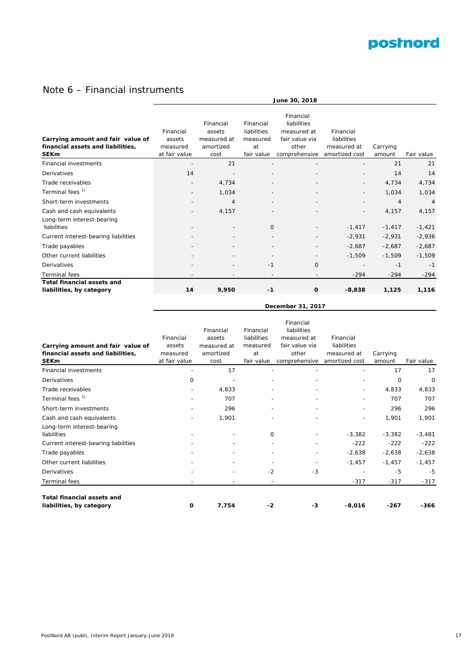

# Note 6 – Financial instruments

|                                                                                       | June 30, 2018                                    |                                                         |                                                          |                                                                                     |                                                           |                    |                |  |  |  |
|---------------------------------------------------------------------------------------|--------------------------------------------------|---------------------------------------------------------|----------------------------------------------------------|-------------------------------------------------------------------------------------|-----------------------------------------------------------|--------------------|----------------|--|--|--|
| Carrying amount and fair value of<br>financial assets and liabilities,<br><b>SEKm</b> | Financial<br>assets<br>measured<br>at fair value | Financial<br>assets<br>measured at<br>amortized<br>cost | Financial<br>liabilities<br>measured<br>at<br>fair value | Financial<br>liabilities<br>measured at<br>fair value via<br>other<br>comprehensive | Financial<br>liabilities<br>measured at<br>amortized cost | Carrying<br>amount | Fair value     |  |  |  |
| <b>Financial investments</b>                                                          |                                                  | 21                                                      |                                                          |                                                                                     |                                                           | 21                 | 21             |  |  |  |
| Derivatives                                                                           | 14                                               |                                                         |                                                          |                                                                                     | $\overline{\phantom{0}}$                                  | 14                 | 14             |  |  |  |
| Trade receivables                                                                     | $\overline{\phantom{a}}$                         | 4,734                                                   | $\overline{\phantom{a}}$                                 |                                                                                     | $\overline{\phantom{0}}$                                  | 4,734              | 4,734          |  |  |  |
| Terminal fees <sup>1)</sup>                                                           |                                                  | 1,034                                                   |                                                          |                                                                                     | $\overline{\phantom{0}}$                                  | 1,034              | 1,034          |  |  |  |
| Short-term investments                                                                |                                                  | $\overline{4}$                                          |                                                          |                                                                                     |                                                           | $\overline{4}$     | $\overline{4}$ |  |  |  |
| Cash and cash equivalents<br>Long-term interest-bearing                               |                                                  | 4,157                                                   |                                                          |                                                                                     | $\overline{\phantom{0}}$                                  | 4,157              | 4,157          |  |  |  |
| liabilities                                                                           |                                                  |                                                         | $\mathbf 0$                                              |                                                                                     | $-1,417$                                                  | $-1,417$           | $-1,421$       |  |  |  |
| Current interest-bearing liabilities                                                  |                                                  |                                                         |                                                          |                                                                                     | $-2,931$                                                  | $-2,931$           | $-2,936$       |  |  |  |
| Trade payables                                                                        |                                                  |                                                         |                                                          |                                                                                     | $-2,687$                                                  | $-2,687$           | $-2,687$       |  |  |  |
| Other current liabilities                                                             |                                                  |                                                         |                                                          |                                                                                     | $-1,509$                                                  | $-1,509$           | $-1,509$       |  |  |  |
| Derivatives                                                                           |                                                  |                                                         | $-1$                                                     | 0                                                                                   |                                                           | $-1$               | $-1$           |  |  |  |
| <b>Terminal fees</b>                                                                  | $\overline{\phantom{0}}$                         | $\overline{\phantom{a}}$                                | $\overline{\phantom{a}}$                                 | $\overline{\phantom{a}}$                                                            | $-294$                                                    | $-294$             | $-294$         |  |  |  |
| <b>Total financial assets and</b><br>liabilities, by category                         | 14                                               | 9,950                                                   | $-1$                                                     | $\mathbf{o}$                                                                        | $-8,838$                                                  | 1,125              | 1,116          |  |  |  |

| December 31, 2017 |  |
|-------------------|--|
|-------------------|--|

|                                                               |                          |                          |             | Financial      |                |          |            |
|---------------------------------------------------------------|--------------------------|--------------------------|-------------|----------------|----------------|----------|------------|
|                                                               |                          | Financial                | Financial   | liabilities    |                |          |            |
|                                                               | Financial                | assets                   | liabilities | measured at    | Financial      |          |            |
| Carrying amount and fair value of                             | assets                   | measured at              | measured    | fair value via | liabilities    |          |            |
| financial assets and liabilities,                             | measured                 | amortized                | at          | other          | measured at    | Carrying |            |
| <b>SEKm</b>                                                   | at fair value            | cost                     | fair value  | comprehensive  | amortized cost | amount   | Fair value |
| <b>Financial investments</b>                                  | $\overline{\phantom{a}}$ | 17                       |             | ٠              |                | 17       | 17         |
| <b>Derivatives</b>                                            | $\mathbf 0$              |                          |             |                |                | $\circ$  | $\circ$    |
| Trade receivables                                             |                          | 4,833                    |             |                |                | 4,833    | 4,833      |
| Terminal fees <sup>1)</sup>                                   |                          | 707                      |             |                |                | 707      | 707        |
| Short-term investments                                        |                          | 296                      |             |                |                | 296      | 296        |
| Cash and cash equivalents                                     |                          | 1,901                    |             |                |                | 1,901    | 1,901      |
| Long-term interest-bearing                                    |                          |                          |             |                |                |          |            |
| liabilities                                                   |                          |                          | 0           |                | $-3,382$       | $-3,382$ | $-3,481$   |
| Current interest-bearing liabilities                          |                          |                          |             |                | $-222$         | $-222$   | $-222$     |
| Trade payables                                                |                          | $\overline{\phantom{a}}$ |             |                | $-2,638$       | $-2,638$ | $-2,638$   |
| Other current liabilities                                     |                          | $\overline{\phantom{a}}$ |             | $\overline{a}$ | $-1,457$       | $-1,457$ | $-1,457$   |
| Derivatives                                                   |                          |                          | $-2$        | $-3$           |                | $-5$     | -5         |
| Terminal fees                                                 |                          | $\overline{\phantom{a}}$ |             |                | $-317$         | $-317$   | $-317$     |
|                                                               |                          |                          |             |                |                |          |            |
| <b>Total financial assets and</b><br>liabilities, by category | 0                        | 7,754                    | $-2$        | -3             | $-8,016$       | $-267$   | -366       |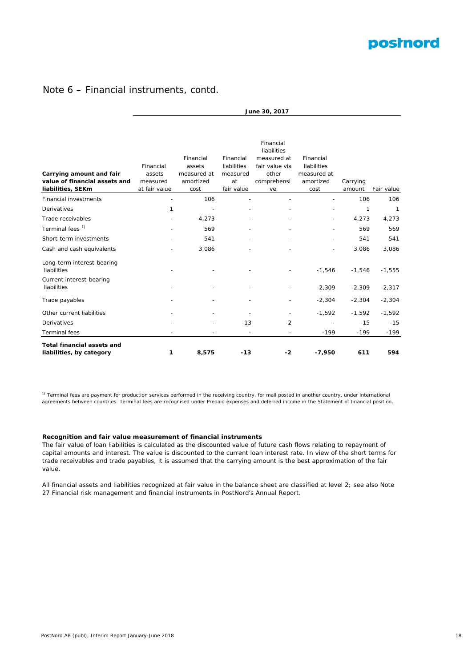

### Note 6 – Financial instruments, contd.

|                                                                                | June 30, 2017                                    |                                                         |                                                          |                                                                                         |                                                              |                    |            |  |  |  |
|--------------------------------------------------------------------------------|--------------------------------------------------|---------------------------------------------------------|----------------------------------------------------------|-----------------------------------------------------------------------------------------|--------------------------------------------------------------|--------------------|------------|--|--|--|
| Carrying amount and fair<br>value of financial assets and<br>liabilities, SEKm | Financial<br>assets<br>measured<br>at fair value | Financial<br>assets<br>measured at<br>amortized<br>cost | Financial<br>liabilities<br>measured<br>at<br>fair value | Financial<br>liabilities<br>measured at<br>fair value via<br>other<br>comprehensi<br>ve | Financial<br>liabilities<br>measured at<br>amortized<br>cost | Carrying<br>amount | Fair value |  |  |  |
| <b>Financial investments</b>                                                   |                                                  | 106                                                     |                                                          |                                                                                         |                                                              | 106                | 106        |  |  |  |
| Derivatives                                                                    | 1                                                |                                                         |                                                          |                                                                                         |                                                              | 1                  | 1          |  |  |  |
| Trade receivables                                                              |                                                  | 4,273                                                   |                                                          |                                                                                         |                                                              | 4,273              | 4,273      |  |  |  |
| Terminal fees <sup>1)</sup>                                                    |                                                  | 569                                                     |                                                          |                                                                                         |                                                              | 569                | 569        |  |  |  |
| Short-term investments                                                         |                                                  | 541                                                     |                                                          |                                                                                         |                                                              | 541                | 541        |  |  |  |
| Cash and cash equivalents                                                      |                                                  | 3,086                                                   |                                                          |                                                                                         |                                                              | 3,086              | 3,086      |  |  |  |
| Long-term interest-bearing<br>liabilities                                      |                                                  |                                                         |                                                          |                                                                                         | $-1,546$                                                     | $-1,546$           | $-1,555$   |  |  |  |
| Current interest-bearing<br>liabilities                                        |                                                  |                                                         |                                                          |                                                                                         | $-2,309$                                                     | $-2,309$           | $-2,317$   |  |  |  |
| Trade payables                                                                 |                                                  |                                                         |                                                          |                                                                                         | $-2,304$                                                     | $-2,304$           | $-2,304$   |  |  |  |
| Other current liabilities                                                      |                                                  |                                                         |                                                          |                                                                                         | $-1,592$                                                     | $-1,592$           | $-1,592$   |  |  |  |
| Derivatives                                                                    |                                                  |                                                         | $-13$                                                    | $-2$                                                                                    |                                                              | $-15$              | $-15$      |  |  |  |
| <b>Terminal</b> fees                                                           |                                                  |                                                         |                                                          |                                                                                         | $-199$                                                       | $-199$             | $-199$     |  |  |  |
| <b>Total financial assets and</b><br>liabilities, by category                  | 1                                                | 8,575                                                   | $-13$                                                    | $-2$                                                                                    | $-7,950$                                                     | 611                | 594        |  |  |  |

<sup>1)</sup> Terminal fees are payment for production services performed in the receiving country, for mail posted in another country, under international agreements between countries. Terminal fees are recognised under Prepaid expenses and deferred income in the Statement of financial position.

### **Recognition and fair value measurement of financial instruments**

The fair value of loan liabilities is calculated as the discounted value of future cash flows relating to repayment of capital amounts and interest. The value is discounted to the current loan interest rate. In view of the short terms for trade receivables and trade payables, it is assumed that the carrying amount is the best approximation of the fair value.

All financial assets and liabilities recognized at fair value in the balance sheet are classified at level 2; see also Note 27 Financial risk management and financial instruments in PostNord's Annual Report.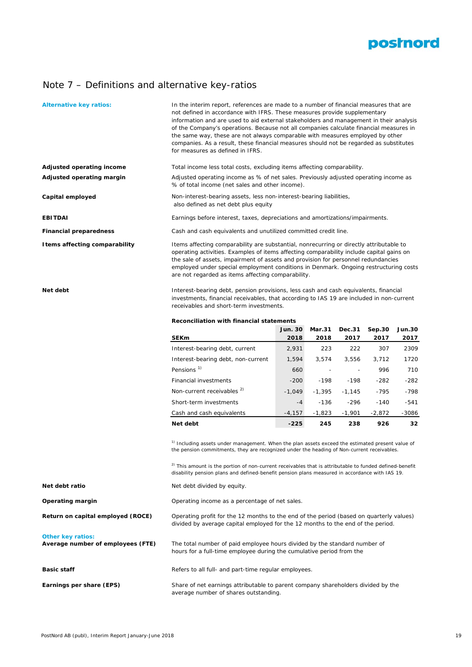

# Note 7 – Definitions and alternative key-ratios

| <b>Alternative key ratios:</b>                                | In the interim report, references are made to a number of financial measures that are<br>not defined in accordance with IFRS. These measures provide supplementary<br>information and are used to aid external stakeholders and management in their analysis<br>of the Company's operations. Because not all companies calculate financial measures in<br>the same way, these are not always comparable with measures employed by other<br>companies. As a result, these financial measures should not be regarded as substitutes<br>for measures as defined in IFRS. |                                                                                                                                                                                                                                                                                                                                                                                                                                   |                       |                          |                |                       |  |  |  |  |
|---------------------------------------------------------------|-----------------------------------------------------------------------------------------------------------------------------------------------------------------------------------------------------------------------------------------------------------------------------------------------------------------------------------------------------------------------------------------------------------------------------------------------------------------------------------------------------------------------------------------------------------------------|-----------------------------------------------------------------------------------------------------------------------------------------------------------------------------------------------------------------------------------------------------------------------------------------------------------------------------------------------------------------------------------------------------------------------------------|-----------------------|--------------------------|----------------|-----------------------|--|--|--|--|
| Adjusted operating income                                     | Total income less total costs, excluding items affecting comparability.                                                                                                                                                                                                                                                                                                                                                                                                                                                                                               |                                                                                                                                                                                                                                                                                                                                                                                                                                   |                       |                          |                |                       |  |  |  |  |
| Adjusted operating margin                                     | Adjusted operating income as % of net sales. Previously adjusted operating income as<br>% of total income (net sales and other income).                                                                                                                                                                                                                                                                                                                                                                                                                               |                                                                                                                                                                                                                                                                                                                                                                                                                                   |                       |                          |                |                       |  |  |  |  |
| Capital employed                                              | Non-interest-bearing assets, less non-interest-bearing liabilities,<br>also defined as net debt plus equity                                                                                                                                                                                                                                                                                                                                                                                                                                                           |                                                                                                                                                                                                                                                                                                                                                                                                                                   |                       |                          |                |                       |  |  |  |  |
| EBITDAI                                                       | Earnings before interest, taxes, depreciations and amortizations/impairments.                                                                                                                                                                                                                                                                                                                                                                                                                                                                                         |                                                                                                                                                                                                                                                                                                                                                                                                                                   |                       |                          |                |                       |  |  |  |  |
| <b>Financial preparedness</b>                                 | Cash and cash equivalents and unutilized committed credit line.                                                                                                                                                                                                                                                                                                                                                                                                                                                                                                       |                                                                                                                                                                                                                                                                                                                                                                                                                                   |                       |                          |                |                       |  |  |  |  |
| I tems affecting comparability                                | Items affecting comparability are substantial, nonrecurring or directly attributable to<br>operating activities. Examples of items affecting comparability include capital gains on<br>the sale of assets, impairment of assets and provision for personnel redundancies<br>employed under special employment conditions in Denmark. Ongoing restructuring costs<br>are not regarded as items affecting comparability.                                                                                                                                                |                                                                                                                                                                                                                                                                                                                                                                                                                                   |                       |                          |                |                       |  |  |  |  |
| Net debt                                                      | Interest-bearing debt, pension provisions, less cash and cash equivalents, financial<br>investments, financial receivables, that according to IAS 19 are included in non-current<br>receivables and short-term investments.                                                                                                                                                                                                                                                                                                                                           |                                                                                                                                                                                                                                                                                                                                                                                                                                   |                       |                          |                |                       |  |  |  |  |
|                                                               | Reconciliation with financial statements                                                                                                                                                                                                                                                                                                                                                                                                                                                                                                                              |                                                                                                                                                                                                                                                                                                                                                                                                                                   |                       |                          |                |                       |  |  |  |  |
|                                                               | <b>SEKm</b>                                                                                                                                                                                                                                                                                                                                                                                                                                                                                                                                                           | Jun. 30<br>2018                                                                                                                                                                                                                                                                                                                                                                                                                   | <b>Mar.31</b><br>2018 | Dec.31<br>2017           | Sep.30<br>2017 | <b>Jun.30</b><br>2017 |  |  |  |  |
|                                                               | Interest-bearing debt, current                                                                                                                                                                                                                                                                                                                                                                                                                                                                                                                                        | 2,931                                                                                                                                                                                                                                                                                                                                                                                                                             | 223                   | 222                      | 307            | 2309                  |  |  |  |  |
|                                                               | Interest-bearing debt, non-current                                                                                                                                                                                                                                                                                                                                                                                                                                                                                                                                    | 1,594                                                                                                                                                                                                                                                                                                                                                                                                                             | 3,574                 | 3,556                    | 3,712          | 1720                  |  |  |  |  |
|                                                               | Pensions <sup>1)</sup>                                                                                                                                                                                                                                                                                                                                                                                                                                                                                                                                                | 660                                                                                                                                                                                                                                                                                                                                                                                                                               |                       | $\overline{\phantom{a}}$ | 996            | 710                   |  |  |  |  |
|                                                               | Financial investments                                                                                                                                                                                                                                                                                                                                                                                                                                                                                                                                                 | $-200$                                                                                                                                                                                                                                                                                                                                                                                                                            | $-198$                | $-198$                   | -282           | $-282$                |  |  |  |  |
|                                                               | Non-current receivables <sup>2)</sup>                                                                                                                                                                                                                                                                                                                                                                                                                                                                                                                                 | $-1,049$                                                                                                                                                                                                                                                                                                                                                                                                                          | $-1,395$              | $-1,145$                 | $-795$         | $-798$                |  |  |  |  |
|                                                               | Short-term investments                                                                                                                                                                                                                                                                                                                                                                                                                                                                                                                                                | $-4$                                                                                                                                                                                                                                                                                                                                                                                                                              | -136                  | $-296$                   | $-140$         | $-541$                |  |  |  |  |
|                                                               | Cash and cash equivalents                                                                                                                                                                                                                                                                                                                                                                                                                                                                                                                                             | $-4,157$                                                                                                                                                                                                                                                                                                                                                                                                                          | $-1,823$              | $-1,901$                 | $-2,872$       | -3086                 |  |  |  |  |
|                                                               | Net debt                                                                                                                                                                                                                                                                                                                                                                                                                                                                                                                                                              | $-225$                                                                                                                                                                                                                                                                                                                                                                                                                            | 245                   | 238                      | 926            | 32                    |  |  |  |  |
|                                                               |                                                                                                                                                                                                                                                                                                                                                                                                                                                                                                                                                                       | <sup>1)</sup> Including assets under management. When the plan assets exceed the estimated present value of<br>the pension commitments, they are recognized under the heading of Non-current receivables.<br><sup>2)</sup> This amount is the portion of non-current receivables that is attributable to funded defined-benefit<br>disability pension plans and defined-benefit pension plans measured in accordance with IAS 19. |                       |                          |                |                       |  |  |  |  |
| Net debt ratio                                                | Net debt divided by equity.                                                                                                                                                                                                                                                                                                                                                                                                                                                                                                                                           |                                                                                                                                                                                                                                                                                                                                                                                                                                   |                       |                          |                |                       |  |  |  |  |
| Operating margin                                              | Operating income as a percentage of net sales.                                                                                                                                                                                                                                                                                                                                                                                                                                                                                                                        |                                                                                                                                                                                                                                                                                                                                                                                                                                   |                       |                          |                |                       |  |  |  |  |
| Return on capital employed (ROCE)                             | Operating profit for the 12 months to the end of the period (based on quarterly values)<br>divided by average capital employed for the 12 months to the end of the period.                                                                                                                                                                                                                                                                                                                                                                                            |                                                                                                                                                                                                                                                                                                                                                                                                                                   |                       |                          |                |                       |  |  |  |  |
| <b>Other key ratios:</b><br>Average number of employees (FTE) | The total number of paid employee hours divided by the standard number of<br>hours for a full-time employee during the cumulative period from the                                                                                                                                                                                                                                                                                                                                                                                                                     |                                                                                                                                                                                                                                                                                                                                                                                                                                   |                       |                          |                |                       |  |  |  |  |
| Basic staff                                                   | Refers to all full- and part-time regular employees.                                                                                                                                                                                                                                                                                                                                                                                                                                                                                                                  |                                                                                                                                                                                                                                                                                                                                                                                                                                   |                       |                          |                |                       |  |  |  |  |
| Earnings per share (EPS)                                      | Share of net earnings attributable to parent company shareholders divided by the<br>average number of shares outstanding.                                                                                                                                                                                                                                                                                                                                                                                                                                             |                                                                                                                                                                                                                                                                                                                                                                                                                                   |                       |                          |                |                       |  |  |  |  |
|                                                               |                                                                                                                                                                                                                                                                                                                                                                                                                                                                                                                                                                       |                                                                                                                                                                                                                                                                                                                                                                                                                                   |                       |                          |                |                       |  |  |  |  |